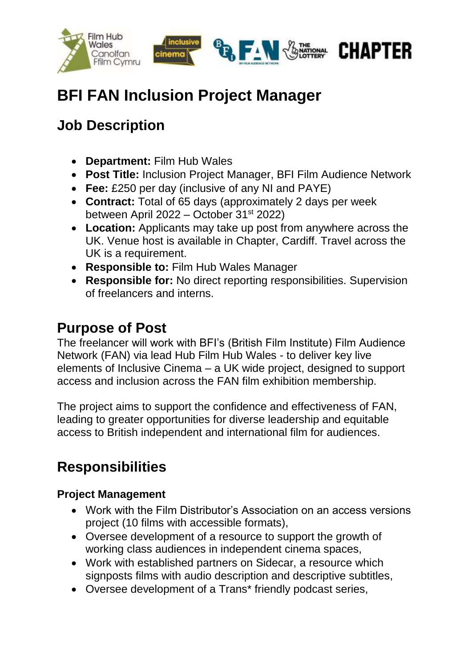

# **BFI FAN Inclusion Project Manager**

### **Job Description**

- **Department:** Film Hub Wales
- **Post Title:** Inclusion Project Manager, BFI Film Audience Network
- **Fee:** £250 per day (inclusive of any NI and PAYE)
- **Contract:** Total of 65 days (approximately 2 days per week between April 2022 – October 31st 2022)
- **Location:** Applicants may take up post from anywhere across the UK. Venue host is available in Chapter, Cardiff. Travel across the UK is a requirement.
- **Responsible to:** Film Hub Wales Manager
- **Responsible for:** No direct reporting responsibilities. Supervision of freelancers and interns.

### **Purpose of Post**

The freelancer will work with BFI's (British Film Institute) Film Audience Network (FAN) via lead Hub Film Hub Wales - to deliver key live elements of Inclusive Cinema – a UK wide project, designed to support access and inclusion across the FAN film exhibition membership.

The project aims to support the confidence and effectiveness of FAN, leading to greater opportunities for diverse leadership and equitable access to British independent and international film for audiences.

## **Responsibilities**

#### **Project Management**

- Work with the Film Distributor's Association on an access versions project (10 films with accessible formats),
- Oversee development of a resource to support the growth of working class audiences in independent cinema spaces,
- Work with established partners on Sidecar, a resource which signposts films with audio description and descriptive subtitles,
- Oversee development of a Trans\* friendly podcast series,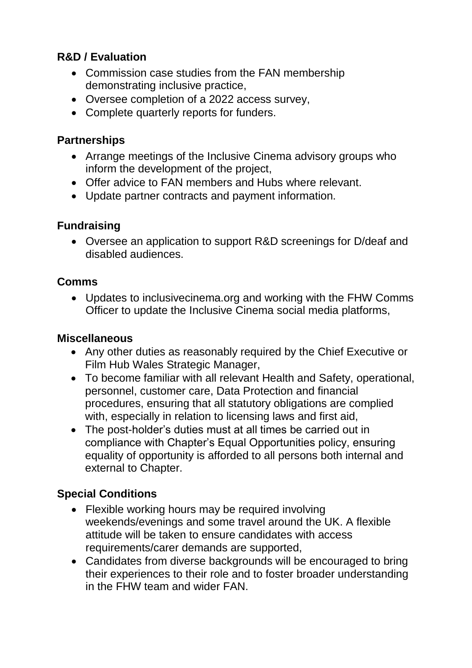#### **R&D / Evaluation**

- Commission case studies from the FAN membership demonstrating inclusive practice,
- Oversee completion of a 2022 access survey,
- Complete quarterly reports for funders.

#### **Partnerships**

- Arrange meetings of the Inclusive Cinema advisory groups who inform the development of the project,
- Offer advice to FAN members and Hubs where relevant.
- Update partner contracts and payment information.

#### **Fundraising**

 Oversee an application to support R&D screenings for D/deaf and disabled audiences.

#### **Comms**

 Updates to inclusivecinema.org and working with the FHW Comms Officer to update the Inclusive Cinema social media platforms,

#### **Miscellaneous**

- Any other duties as reasonably required by the Chief Executive or Film Hub Wales Strategic Manager,
- To become familiar with all relevant Health and Safety, operational, personnel, customer care, Data Protection and financial procedures, ensuring that all statutory obligations are complied with, especially in relation to licensing laws and first aid,
- The post-holder's duties must at all times be carried out in compliance with Chapter's Equal Opportunities policy, ensuring equality of opportunity is afforded to all persons both internal and external to Chapter.

#### **Special Conditions**

- Flexible working hours may be required involving weekends/evenings and some travel around the UK. A flexible attitude will be taken to ensure candidates with access requirements/carer demands are supported,
- Candidates from diverse backgrounds will be encouraged to bring their experiences to their role and to foster broader understanding in the FHW team and wider FAN.